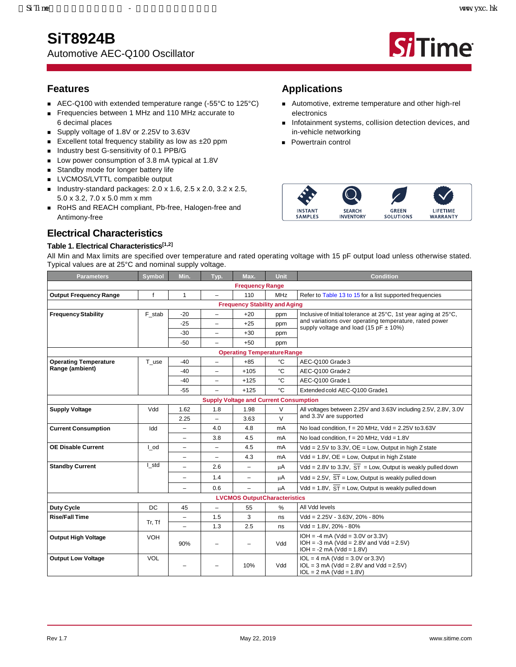## **SiT8924B**



**Si**Time

## **Features**

- AEC-Q100 with extended temperature range (-55°C to 125°C)
- Frequencies between 1 MHz and 110 MHz accurate to 6 decimal places
- Supply voltage of 1.8V or 2.25V to 3.63V
- Excellent total frequency stability as low as  $\pm 20$  ppm
- Industry best G-sensitivity of 0.1 PPB/G
- Low power consumption of 3.8 mA typical at 1.8V
- Standby mode for longer battery life
- **LVCMOS/LVTTL compatible output**
- Industry-standard packages: 2.0 x 1.6, 2.5 x 2.0, 3.2 x 2.5, 5.0 x 3.2, 7.0 x 5.0 mm x mm
- RoHS and REACH compliant, Pb-free, Halogen-free and Antimony-free

## **Electrical Characteristics**

### **Table 1. Electrical Characteristic[s\[1,](#page-1-0)[2\]](#page-1-1)**

## **Applications**

- Automotive, extreme temperature and other high-rel electronics
- **n** Infotainment systems, collision detection devices, and in-vehicle networking
- **Powertrain control**



All Min and Max limits are specified over temperature and rated operating voltage with 15 pF output load unless otherwise stated. Typical values are at 25°C and nominal supply voltage.

| Parameters                                    | <b>Symbol</b> | Min.                     | Typ.                     | Max.                                 | <b>Unit</b> | <b>Condition</b>                                                                                              |  |  |  |
|-----------------------------------------------|---------------|--------------------------|--------------------------|--------------------------------------|-------------|---------------------------------------------------------------------------------------------------------------|--|--|--|
|                                               |               |                          |                          | <b>Frequency Range</b>               |             |                                                                                                               |  |  |  |
| <b>Output Frequency Range</b>                 | $\mathsf{f}$  | $\mathbf{1}$             | $\overline{\phantom{0}}$ | 110                                  | <b>MHz</b>  | Refer to Table 13 to 15 for a list supported frequencies                                                      |  |  |  |
|                                               |               |                          |                          | <b>Frequency Stability and Aging</b> |             |                                                                                                               |  |  |  |
| <b>Frequency Stability</b>                    | F stab        | $-20$                    | -                        | $+20$                                | ppm         | Inclusive of Initial tolerance at 25°C, 1st year aging at 25°C,                                               |  |  |  |
|                                               |               | -25                      | -                        | $+25$                                | ppm         | and variations over operating temperature, rated power<br>supply voltage and load (15 pF $\pm$ 10%)           |  |  |  |
|                                               |               | $-30$                    | -                        | $+30$                                | ppm         |                                                                                                               |  |  |  |
|                                               |               | $-50$                    |                          | $+50$                                | ppm         |                                                                                                               |  |  |  |
|                                               |               |                          |                          | <b>Operating TemperatureRange</b>    |             |                                                                                                               |  |  |  |
| <b>Operating Temperature</b>                  | $T_{\_}use$   | -40                      | $\overline{\phantom{0}}$ | $+85$                                | °C          | AEC-Q100 Grade 3                                                                                              |  |  |  |
| Range (ambient)                               |               | -40                      | $\overline{\phantom{0}}$ | $+105$                               | °C          | AEC-Q100 Grade 2                                                                                              |  |  |  |
|                                               |               | -40                      | -                        | $+125$                               | °C          | AEC-Q100 Grade 1                                                                                              |  |  |  |
|                                               |               | $-55$                    |                          | $+125$                               | °C          | Extended cold AEC-Q100 Grade1                                                                                 |  |  |  |
| <b>Supply Voltage and Current Consumption</b> |               |                          |                          |                                      |             |                                                                                                               |  |  |  |
| <b>Supply Voltage</b>                         | Vdd           | 1.62                     | 1.8                      | 1.98                                 | V           | All voltages between 2.25V and 3.63V including 2.5V, 2.8V, 3.0V                                               |  |  |  |
|                                               |               | 2.25                     |                          | 3.63                                 | $\vee$      | and 3.3V are supported                                                                                        |  |  |  |
| <b>Current Consumption</b>                    | Idd           | $\overline{\phantom{a}}$ | 4.0                      | 4.8                                  | mA          | No load condition, $f = 20$ MHz, Vdd = 2.25V to 3.63V                                                         |  |  |  |
|                                               |               |                          | 3.8                      | 4.5                                  | mA          | No load condition, $f = 20$ MHz, Vdd = 1.8V                                                                   |  |  |  |
| <b>OE Disable Current</b>                     | I od          | -                        |                          | 4.5                                  | mA          | $Vdd = 2.5V$ to 3.3V, $OE = Low$ , Output in high Z state                                                     |  |  |  |
|                                               |               | $\overline{\phantom{0}}$ | $\equiv$                 | 4.3                                  | mA          | $Vdd = 1.8V$ , $OE = Low$ , Output in high Zstate                                                             |  |  |  |
| <b>Standby Current</b>                        | I std         |                          | 2.6                      | $\overline{\phantom{0}}$             | μA          | Vdd = 2.8V to 3.3V, $\overline{ST}$ = Low, Output is weakly pulled down                                       |  |  |  |
|                                               |               | $\overline{\phantom{a}}$ | 1.4                      | $\overline{\phantom{m}}$             | μA          | Vdd = 2.5V, $\overline{ST}$ = Low, Output is weakly pulled down                                               |  |  |  |
|                                               |               |                          | 0.6                      | $\overline{\phantom{0}}$             | μA          | Vdd = 1.8V, $\overline{ST}$ = Low, Output is weakly pulled down                                               |  |  |  |
|                                               |               |                          |                          | <b>LVCMOS OutputCharacteristics</b>  |             |                                                                                                               |  |  |  |
| Duty Cycle                                    | DC            | 45                       | $\overline{\phantom{0}}$ | 55                                   | %           | All Vdd levels                                                                                                |  |  |  |
| <b>Rise/Fall Time</b>                         |               | $\overline{\phantom{a}}$ | 1.5                      | 3                                    | ns          | $Vdd = 2.25V - 3.63V, 20\% - 80\%$                                                                            |  |  |  |
|                                               | Tr, Tf        | $\equiv$                 | 1.3                      | 2.5                                  | ns          | $Vdd = 1.8V, 20\% - 80\%$                                                                                     |  |  |  |
| <b>Output High Voltage</b>                    | <b>VOH</b>    | 90%                      |                          | $\overline{\phantom{0}}$             | Vdd         | $IOH = -4 mA (Vdd = 3.0V or 3.3V)$<br>$IOH = -3 mA (Vdd = 2.8V and Vdd = 2.5V)$<br>$IOH = -2 mA (Vdd = 1.8V)$ |  |  |  |
| <b>Output Low Voltage</b>                     | <b>VOL</b>    |                          |                          | 10%                                  | Vdd         | $IOL = 4 mA (Vdd = 3.0V or 3.3V)$<br>$IOL = 3 mA (Vdd = 2.8V and Vdd = 2.5V)$<br>$IOL = 2 mA (Vdd = 1.8V)$    |  |  |  |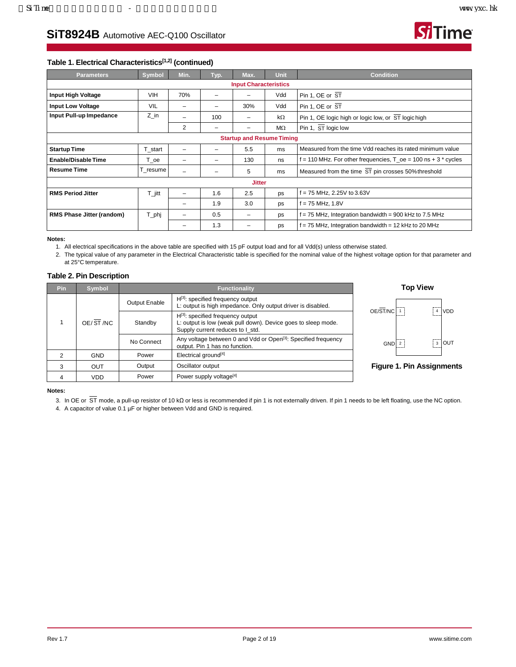

### **Table 1. Electrical Characteristic[s\[1,](#page-1-0)[2\]](#page-1-1) (continued)**

| <b>Parameters</b>                | Symbol     | Min. | Typ. | Max.                             | Unit | <b>Condition</b>                                                           |  |  |
|----------------------------------|------------|------|------|----------------------------------|------|----------------------------------------------------------------------------|--|--|
|                                  |            |      |      | <b>Input Characteristics</b>     |      |                                                                            |  |  |
| <b>Input High Voltage</b>        | <b>VIH</b> | 70%  | -    |                                  | Vdd  | Pin 1, OE or $ST$                                                          |  |  |
| <b>Input Low Voltage</b>         | <b>VIL</b> | -    |      | 30%                              | Vdd  | Pin 1, OE or $ST$                                                          |  |  |
| Input Pull-up Impedance          | Z in       |      | 100  |                                  | kΩ   | Pin 1, OE logic high or logic low, or ST logic high                        |  |  |
|                                  |            | 2    | -    | -                                | ΜΩ   | Pin 1, ST logic low                                                        |  |  |
|                                  |            |      |      | <b>Startup and Resume Timing</b> |      |                                                                            |  |  |
| <b>Startup Time</b>              | T_start    | -    |      | 5.5                              | ms   | Measured from the time Vdd reaches its rated minimum value                 |  |  |
| <b>Enable/Disable Time</b>       | T oe       | -    |      | 130                              | ns   | f = 110 MHz. For other frequencies, $T_{\rm \_0}$ = 100 ns + 3 $^*$ cycles |  |  |
| <b>Resume Time</b>               | T_resume   | -    |      | 5                                | ms   | Measured from the time ST pin crosses 50% threshold                        |  |  |
|                                  |            |      |      | <b>Jitter</b>                    |      |                                                                            |  |  |
| <b>RMS Period Jitter</b>         | $T_i$ itt  | -    | 1.6  | 2.5                              | ps   | f = 75 MHz, 2.25V to 3.63V                                                 |  |  |
|                                  |            |      | 1.9  | 3.0                              | ps   | f = 75 MHz, 1.8V                                                           |  |  |
| <b>RMS Phase Jitter (random)</b> | $T$ _phj   | -    | 0.5  | -                                | ps   | $f = 75$ MHz, Integration bandwidth = 900 kHz to 7.5 MHz                   |  |  |
|                                  |            |      | 1.3  |                                  | ps   | f = 75 MHz, Integration bandwidth = 12 kHz to 20 MHz                       |  |  |

#### <span id="page-1-0"></span>**Notes:**

1. All electrical specifications in the above table are specified with 15 pF output load and for all Vdd(s) unless otherwise stated.

<span id="page-1-1"></span>2. The typical value of any parameter in the Electrical Characteristic table is specified for the nominal value of the highest voltage option for that parameter and at 25°C temperature.

#### **Table 2. Pin Description**

| Pin. | <b>Symbol</b> | <b>Functionality</b> |                                                                                                                                             |       |  |  |  |
|------|---------------|----------------------|---------------------------------------------------------------------------------------------------------------------------------------------|-------|--|--|--|
|      |               | <b>Output Enable</b> | $H^{[3]}$ : specified frequency output<br>L: output is high impedance. Only output driver is disabled.                                      | OE/ST |  |  |  |
|      | OE/ST/NC      | Standby              | $H^{[3]}$ : specified frequency output<br>L: output is low (weak pull down). Device goes to sleep mode.<br>Supply current reduces to I std. |       |  |  |  |
|      |               | No Connect           | Any voltage between 0 and Vdd or Open <sup>[3]</sup> : Specified frequency<br>output. Pin 1 has no function.                                |       |  |  |  |
| 2    | <b>GND</b>    | Power                | Electrical ground <sup>[4]</sup>                                                                                                            |       |  |  |  |
| 3    | OUT           | Output               | Oscillator output                                                                                                                           | Figu  |  |  |  |
| 4    | <b>VDD</b>    | Power                | Power supply voltage <sup>[4]</sup>                                                                                                         |       |  |  |  |





**Figure 1. Pin Assignments**

<span id="page-1-2"></span>**Notes:**

3. In OE or  $\overline{ST}$  mode, a pull-up resistor of 10 kΩ or less is recommended if pin 1 is not externally driven. If pin 1 needs to be left floating, use the NC option.

<span id="page-1-3"></span>4. A capacitor of value 0.1 µF or higher between Vdd and GND is required.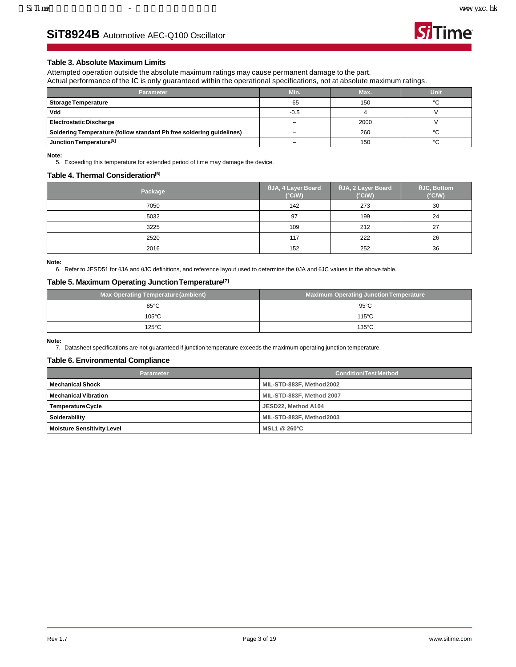**Si**Time

## **SiT8924B** Automotive AEC-Q100 Oscillator

### **Table 3. Absolute Maximum Limits**

Attempted operation outside the absolute maximum ratings may cause permanent damage to the part. Actual performance of the IC is only guaranteed within the operational specifications, not at absolute maximum ratings.

| Parameter                                                            | Min.   | Max. | Unit   |
|----------------------------------------------------------------------|--------|------|--------|
| <b>Storage Temperature</b>                                           | $-65$  | 150  | $\sim$ |
| Vdd                                                                  | $-0.5$ |      |        |
| <b>Electrostatic Discharge</b>                                       | -      | 2000 |        |
| Soldering Temperature (follow standard Pb free soldering guidelines) |        | 260  | $\sim$ |
| Junction Temperature <sup>[5]</sup>                                  |        | 150  | $\sim$ |

<span id="page-2-0"></span>**Note:** 5. Exceeding this temperature for extended period of time may damage the device.

#### **Table 4. Thermal Consideratio[n\[6\]](#page-2-1)**

| Package | $\theta$ JA, 4 Layer Board<br>$(^{\circ}C/W)$ | $\theta$ JA, 2 Layer Board<br>$(^{\circ}C/W)$ | $\theta$ JC, Bottom<br>$(^{\circ}C/W)$ |
|---------|-----------------------------------------------|-----------------------------------------------|----------------------------------------|
| 7050    | 142                                           | 273                                           | 30                                     |
| 5032    | 97                                            | 199                                           | 24                                     |
| 3225    | 109                                           | 212                                           | 27                                     |
| 2520    | 117                                           | 222                                           | 26                                     |
| 2016    | 152                                           | 252                                           | 36                                     |

<span id="page-2-1"></span>**Note:**

6. Refer to JESD51 for θJA and θJC definitions, and reference layout used to determine the θJA and θJC values in the above table.

### **Table 5. Maximum Operating JunctionTemperatur[e\[7\]](#page-2-2)**

| <b>Max Operating Temperature (ambient)</b> | Maximum Operating Junction Temperature |
|--------------------------------------------|----------------------------------------|
| $85^{\circ}$ C                             | $95^{\circ}$ C                         |
| $105^{\circ}$ C                            | $115^{\circ}$ C                        |
| $125^{\circ}$ C                            | 135°C                                  |

<span id="page-2-2"></span>**Note:**

7. Datasheet specifications are not guaranteed if junction temperature exceeds the maximum operating junction temperature.

#### **Table 6. Environmental Compliance**

| <b>Parameter</b>                  | <b>Condition/Test Method</b> |  |  |  |
|-----------------------------------|------------------------------|--|--|--|
| <b>Mechanical Shock</b>           | MIL-STD-883F, Method 2002    |  |  |  |
| <b>Mechanical Vibration</b>       | MIL-STD-883F, Method 2007    |  |  |  |
| Temperature Cycle                 | JESD22, Method A104          |  |  |  |
| Solderability                     | MIL-STD-883F, Method2003     |  |  |  |
| <b>Moisture Sensitivity Level</b> | MSL1 @ 260°C                 |  |  |  |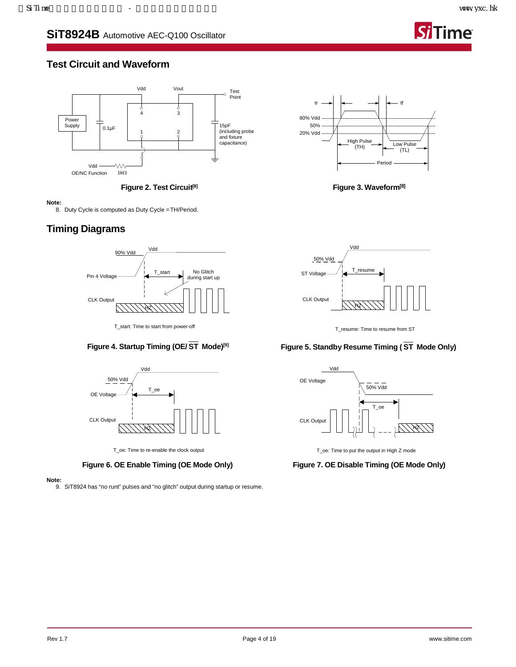

## **Test Circuit and Waveform**



**Figure 2. Test Circui[t\[8\]](#page-3-0)**

#### <span id="page-3-0"></span>**Note:**

8. Duty Cycle is computed as Duty Cycle =TH/Period.

## **Timing Diagrams**



### **Figure 4. Startup Timing (OE/ ST Mode[\)\[9\]](#page-3-1)**



T\_oe: Time to re-enable the clock output

**Figure 6. OE Enable Timing (OE Mode Only)**

<span id="page-3-1"></span>**Note:**

9. SiT8924 has "no runt" pulses and "no glitch" output during startup or resume.



**Figure 3. Wavefor[m\[8\]](#page-3-0)**



T\_resume: Time to resume from ST

### **Figure 5. Standby Resume Timing ( ST Mode Only)**



T\_oe: Time to put the output in High Z mode

**Figure 7. OE Disable Timing (OE Mode Only)**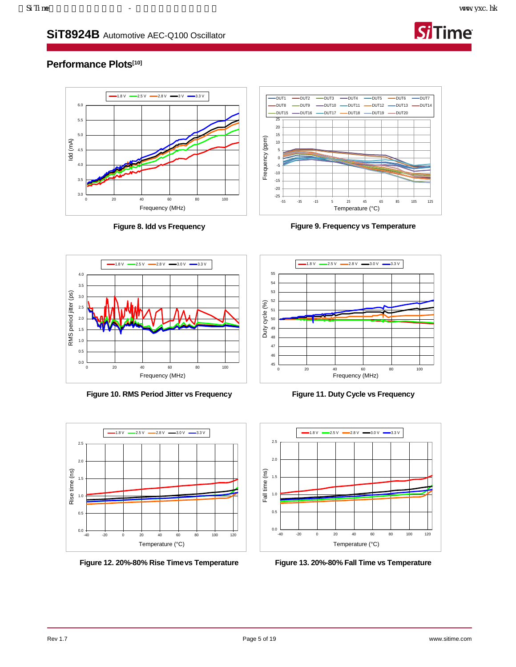

## **Performance Plot[s\[10\]](#page-5-0)**



**Figure 8. Idd vs Frequency**



**Figure 9. Frequency vs Temperature**



**Figure 10. RMS Period Jitter vs Frequency**



**Figure 12. 20%-80% Rise Timevs Temperature**



**Figure 11. Duty Cycle vs Frequency**



<span id="page-4-0"></span>**Figure 13. 20%-80% Fall Time vs Temperature**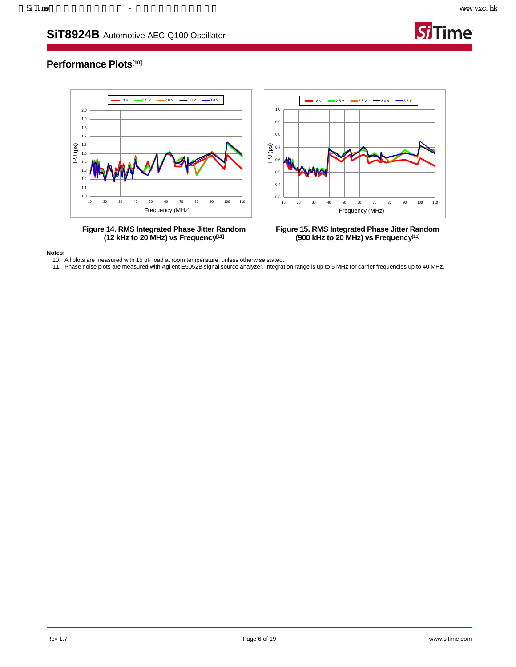

## **Performance Plot[s\[10\]](#page-5-0)**



**Figure 14. RMS Integrated Phase Jitter Random (12 kHz to 20 MHz) vs Frequenc[y\[11\]](#page-5-1)**

**Figure 15. RMS Integrated Phase Jitter Random (900 kHz to 20 MHz) vs Frequenc[y\[11\]](#page-5-1)**

<span id="page-5-0"></span>**Notes:**

10. All plots are measured with 15 pF load at room temperature, unless otherwise stated.

<span id="page-5-1"></span>11. Phase noise plots are measured with Agilent E5052B signal source analyzer. Integration range is up to 5 MHz for carrier frequencies up to 40 MHz.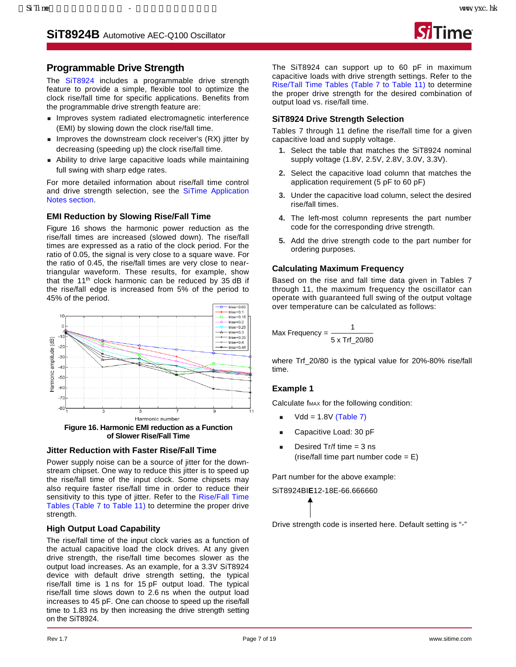

## **Programmable Drive Strength**

The [SiT8924](https://www.sitime.com/products/automotive-oscillators-clock-generators/sit8924) includes a programmable drive strength feature to provide a simple, flexible tool to optimize the clock rise/fall time for specific applications. Benefits from the programmable drive strength feature are:

- **Improves system radiated electromagnetic interference** (EMI) by slowing down the clock rise/fall time.
- **IMPROVES the downstream clock receiver's (RX) jitter by** decreasing (speeding up) the clock rise/fall time.
- Ability to drive large capacitive loads while maintaining full swing with sharp edge rates.

For more detailed information about rise/fall time control and drive strength selection, see the [SiTime Application](https://www.sitime.com/support/resource-library?filter=641)  Notes [section.](https://www.sitime.com/support/resource-library?filter=641)

## **EMI Reduction by Slowing Rise/Fall Time**

[Figure 16](#page-6-0) shows the harmonic power reduction as the rise/fall times are increased (slowed down). The rise/fall times are expressed as a ratio of the clock period. For the ratio of 0.05, the signal is very close to a square wave. For the ratio of 0.45, the rise/fall times are very close to neartriangular waveform. These results, for example, show that the  $11<sup>th</sup>$  clock harmonic can be reduced by 35 dB if the rise/fall edge is increased from 5% of the period to 45% of the period.



**of Slower Rise/Fall Time**

### <span id="page-6-0"></span>**Jitter Reduction with Faster Rise/Fall Time**

Power supply noise can be a source of jitter for the downstream chipset. One way to reduce this jitter is to speed up the rise/fall time of the input clock. Some chipsets may also require faster rise/fall time in order to reduce their sensitivity to this type of jitter. Refer to the Rise/Fall Time [Tables](#page-7-0) [\(Table 7](#page-7-0) to [Table 11\)](#page-7-1) to determine the proper drive strength.

## **High Output Load Capability**

The rise/fall time of the input clock varies as a function of the actual capacitive load the clock drives. At any given drive strength, the rise/fall time becomes slower as the output load increases. As an example, for a 3.3V SiT8924 device with default drive strength setting, the typical rise/fall time is 1 ns for 15 pF output load. The typical rise/fall time slows down to 2.6 ns when the output load increases to 45 pF. One can choose to speed up the rise/fall time to 1.83 ns by then increasing the drive strength setting on the SiT8924.

The SiT8924 can support up to 60 pF in maximum capacitive loads with drive strength settings. Refer to the [Rise/Tall Time Tables](#page-7-2) [\(Table 7](#page-7-0) to [Table 11\)](#page-7-1) to determine the proper drive strength for the desired combination of output load vs. rise/fall time.

## **SiT8924 Drive Strength Selection**

[Tables 7](#page-7-2) through [11](#page-7-1) define the rise/fall time for a given capacitive load and supply voltage.

- **1.** Select the table that matches the SiT8924 nominal supply voltage (1.8V, 2.5V, 2.8V, 3.0V, 3.3V).
- **2.** Select the capacitive load column that matches the application requirement (5 pF to 60 pF)
- **3.** Under the capacitive load column, select the desired rise/fall times.
- **4.** The left-most column represents the part number code for the corresponding drive strength.
- **5.** Add the drive strength code to the part number for ordering purposes.

## **Calculating Maximum Frequency**

Based on the rise and fall time data given in [Tables 7](#page-7-2) [through](#page-7-2) [11,](#page-7-1) the maximum frequency the oscillator can operate with guaranteed full swing of the output voltage over temperature can be calculated as follows:

$$
Max Frequency = \frac{1}{5 \times Trf\_20/80}
$$

where Trf\_20/80 is the typical value for 20%-80% rise/fall time.

### **Example 1**

Calculate f<sub>MAX</sub> for the following condition:

- $Vdd = 1.8V (Table 7)$  $Vdd = 1.8V (Table 7)$
- Capacitive Load: 30 pF
- Desired Tr/f time = 3 ns (rise/fall time part number  $code = E$ )

Part number for the above example:

SiT8924BI**E**12-18E-66.666660

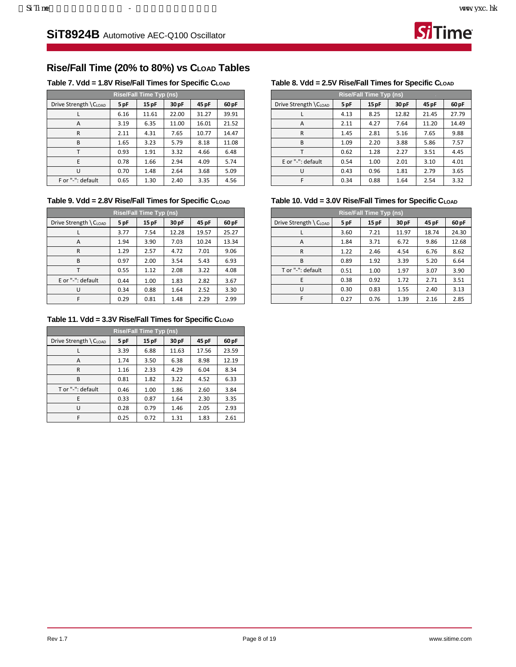**Si**Time

## <span id="page-7-3"></span><span id="page-7-2"></span>**Rise/Fall Time (20% to 80%) vs CLOAD Tables**

<span id="page-7-0"></span>**Table 7. Vdd = 1.8V Rise/Fall Times for Specific CLOAD**

| Rise/Fall Time Typ (ns) |      |       |       |       |       |  |  |
|-------------------------|------|-------|-------|-------|-------|--|--|
| Drive Strength \CLOAD   | 5 pF | 15 pF | 30 pF | 45 pF | 60 pF |  |  |
|                         | 6.16 | 11.61 | 22.00 | 31.27 | 39.91 |  |  |
| A                       | 3.19 | 6.35  | 11.00 | 16.01 | 21.52 |  |  |
| R                       | 2.11 | 4.31  | 7.65  | 10.77 | 14.47 |  |  |
| B                       | 1.65 | 3.23  | 5.79  | 8.18  | 11.08 |  |  |
|                         | 0.93 | 1.91  | 3.32  | 4.66  | 6.48  |  |  |
| F                       | 0.78 | 1.66  | 2.94  | 4.09  | 5.74  |  |  |
| U                       | 0.70 | 1.48  | 2.64  | 3.68  | 5.09  |  |  |
| F or "-": default       | 0.65 | 1.30  | 2.40  | 3.35  | 4.56  |  |  |

Table 9. Vdd = 2.8V Rise/Fall Times for Specific C<sub>LOAD</sub>

| <b>Rise/Fall Time Typ (ns)</b> |      |       |       |       |       |  |  |  |
|--------------------------------|------|-------|-------|-------|-------|--|--|--|
| Drive Strength \ CLOAD         | 5 pF | 15 pF | 30 pF | 45 pF | 60 pF |  |  |  |
|                                | 3.77 | 7.54  | 12.28 | 19.57 | 25.27 |  |  |  |
| A                              | 1.94 | 3.90  | 7.03  | 10.24 | 13.34 |  |  |  |
| R                              | 1.29 | 2.57  | 4.72  | 7.01  | 9.06  |  |  |  |
| B                              | 0.97 | 2.00  | 3.54  | 5.43  | 6.93  |  |  |  |
|                                | 0.55 | 1.12  | 2.08  | 3.22  | 4.08  |  |  |  |
| E or "-": default              | 0.44 | 1.00  | 1.83  | 2.82  | 3.67  |  |  |  |
| U                              | 0.34 | 0.88  | 1.64  | 2.52  | 3.30  |  |  |  |
| F                              | 0.29 | 0.81  | 1.48  | 2.29  | 2.99  |  |  |  |

<span id="page-7-1"></span>**Table 11. Vdd = 3.3V Rise/Fall Times for Specific CLOAD**

| <b>Rise/Fall Time Typ (ns)</b> |      |       |       |       |       |  |  |  |
|--------------------------------|------|-------|-------|-------|-------|--|--|--|
| Drive Strength \ CLOAD         | 5 pF | 15 pF | 30 pF | 45 pF | 60 pF |  |  |  |
|                                | 3.39 | 6.88  | 11.63 | 17.56 | 23.59 |  |  |  |
| A                              | 1.74 | 3.50  | 6.38  | 8.98  | 12.19 |  |  |  |
| R                              | 1.16 | 2.33  | 4.29  | 6.04  | 8.34  |  |  |  |
| B                              | 0.81 | 1.82  | 3.22  | 4.52  | 6.33  |  |  |  |
| T or "-": default              | 0.46 | 1.00  | 1.86  | 2.60  | 3.84  |  |  |  |
| E                              | 0.33 | 0.87  | 1.64  | 2.30  | 3.35  |  |  |  |
| U                              | 0.28 | 0.79  | 1.46  | 2.05  | 2.93  |  |  |  |
| F                              | 0.25 | 0.72  | 1.31  | 1.83  | 2.61  |  |  |  |

### Table 8. Vdd = 2.5V Rise/Fall Times for Specific C<sub>LOAD</sub>

| <b>Rise/Fall Time Typ (ns)</b> |      |      |       |       |       |  |  |
|--------------------------------|------|------|-------|-------|-------|--|--|
| Drive Strength \CLOAD          | 5 pF | 15pF | 30 pF | 45 pF | 60 pF |  |  |
|                                | 4.13 | 8.25 | 12.82 | 21.45 | 27.79 |  |  |
| A                              | 2.11 | 4.27 | 7.64  | 11.20 | 14.49 |  |  |
| R                              | 1.45 | 2.81 | 5.16  | 7.65  | 9.88  |  |  |
| B                              | 1.09 | 2.20 | 3.88  | 5.86  | 7.57  |  |  |
|                                | 0.62 | 1.28 | 2.27  | 3.51  | 4.45  |  |  |
| E or "-": default              | 0.54 | 1.00 | 2.01  | 3.10  | 4.01  |  |  |
| U                              | 0.43 | 0.96 | 1.81  | 2.79  | 3.65  |  |  |
| F                              | 0.34 | 0.88 | 1.64  | 2.54  | 3.32  |  |  |

### **Table 10. Vdd = 3.0V Rise/Fall Times for Specific CLOAD**

| <b>Rise/Fall Time Typ (ns)</b> |      |      |       |       |       |  |  |  |
|--------------------------------|------|------|-------|-------|-------|--|--|--|
| Drive Strength \ CLOAD         | 5 pF | 15pF | 30 pF | 45 pF | 60 pF |  |  |  |
|                                | 3.60 | 7.21 | 11.97 | 18.74 | 24.30 |  |  |  |
| А                              | 1.84 | 3.71 | 6.72  | 9.86  | 12.68 |  |  |  |
| R                              | 1.22 | 2.46 | 4.54  | 6.76  | 8.62  |  |  |  |
| B                              | 0.89 | 1.92 | 3.39  | 5.20  | 6.64  |  |  |  |
| T or "-": default              | 0.51 | 1.00 | 1.97  | 3.07  | 3.90  |  |  |  |
| E                              | 0.38 | 0.92 | 1.72  | 2.71  | 3.51  |  |  |  |
| U                              | 0.30 | 0.83 | 1.55  | 2.40  | 3.13  |  |  |  |
| F                              | 0.27 | 0.76 | 1.39  | 2.16  | 2.85  |  |  |  |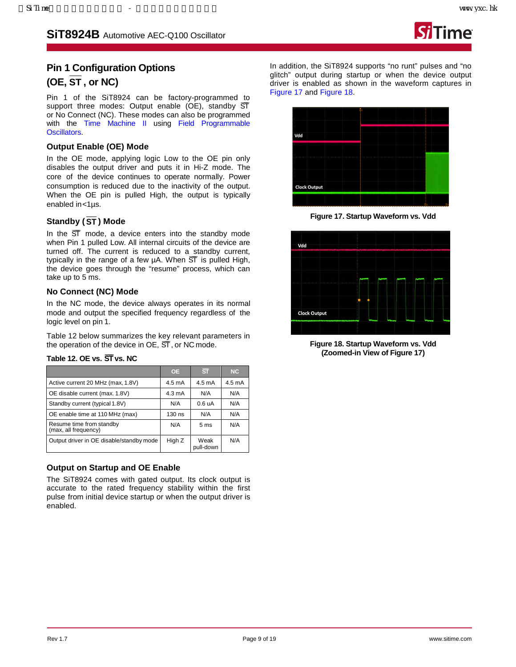

## **Pin 1 Configuration Options (OE, ST , or NC)**

Pin 1 of the SiT8924 can be factory-programmed to support three modes: Output enable  $(OE)$ , standby  $ST$ or No Connect (NC). These modes can also be programmed with the [Time Machine II](http://www.sitime.com/time-machine) using [Field Programmable](http://www.sitime.com/fp-devices) [Oscillators.](http://www.sitime.com/fp-devices)

### **Output Enable (OE) Mode**

In the OE mode, applying logic Low to the OE pin only disables the output driver and puts it in Hi-Z mode. The core of the device continues to operate normally. Power consumption is reduced due to the inactivity of the output. When the OE pin is pulled High, the output is typically enabled in<1µs.

### **Standby (ST ) Mode**

In the  $\overline{ST}$  mode, a device enters into the standby mode when Pin 1 pulled Low. All internal circuits of the device are turned off. The current is reduced to a standby current, typically in the range of a few  $\mu$ A. When  $\overline{ST}$  is pulled High, the device goes through the "resume" process, which can take up to 5 ms.

### **No Connect (NC) Mode**

In the NC mode, the device always operates in its normal mode and output the specified frequency regardless of the logic level on pin 1.

[Table 12](#page-8-0) below summarizes the key relevant parameters in the operation of the device in  $OE$ ,  $ST$ , or NC mode.

<span id="page-8-0"></span>

| Table 12. OE vs. ST vs. NC |  |
|----------------------------|--|
|----------------------------|--|

|                                                  | <b>OE</b>        | $\overline{\text{ST}}$ | NC               |
|--------------------------------------------------|------------------|------------------------|------------------|
| Active current 20 MHz (max, 1.8V)                | $4.5 \text{ mA}$ | $4.5 \text{ mA}$       | $4.5 \text{ mA}$ |
| OE disable current (max. 1.8V)                   | $4.3 \text{ mA}$ | N/A                    | N/A              |
| Standby current (typical 1.8V)                   | N/A              | 0.6 uA                 | N/A              |
| OE enable time at 110 MHz (max)                  | 130 ns           | N/A                    | N/A              |
| Resume time from standby<br>(max, all frequency) | N/A              | 5 <sub>ms</sub>        | N/A              |
| Output driver in OE disable/standby mode         | High Z           | Weak<br>pull-down      | N/A              |

### **Output on Startup and OE Enable**

The SiT8924 comes with gated output. Its clock output is accurate to the rated frequency stability within the first pulse from initial device startup or when the output driver is enabled.

In addition, the SiT8924 supports "no runt" pulses and "no glitch" output during startup or when the device output driver is enabled as shown in the waveform captures in [Figure 17](#page-8-1) and [Figure 18.](#page-8-2)



**Figure 17. Startup Waveform vs. Vdd**

<span id="page-8-1"></span>

<span id="page-8-2"></span>**Figure 18. Startup Waveform vs. Vdd (Zoomed-in View o[f Figure 17\)](#page-8-1)**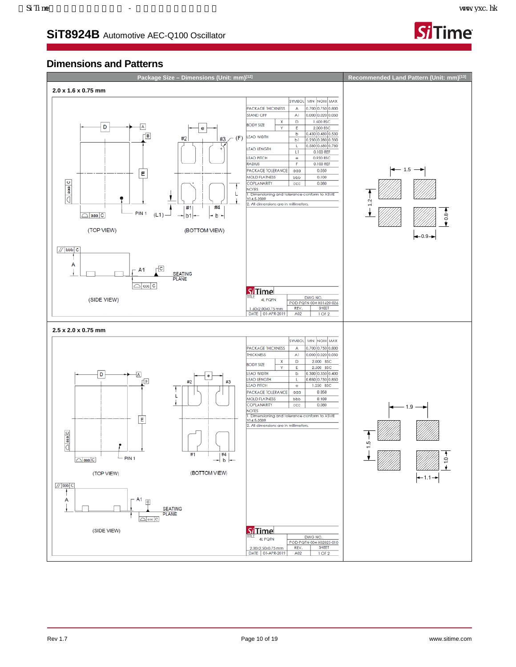**Time** 

## **SiT8924B** Automotive AEC-Q100 Oscillator





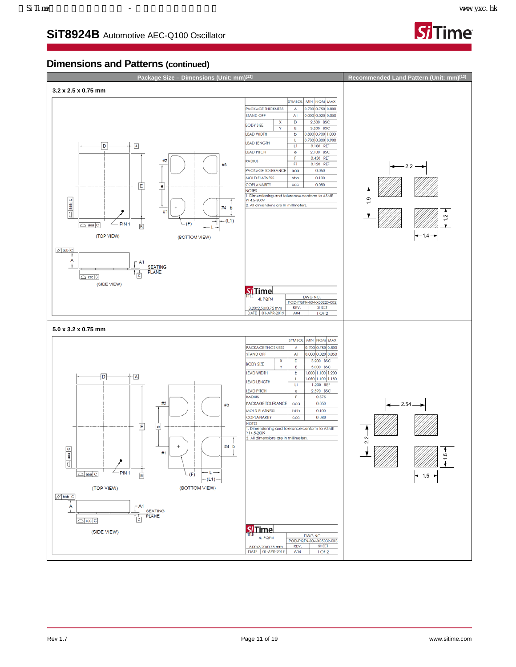

### **Dimensions and Patterns (continued)**

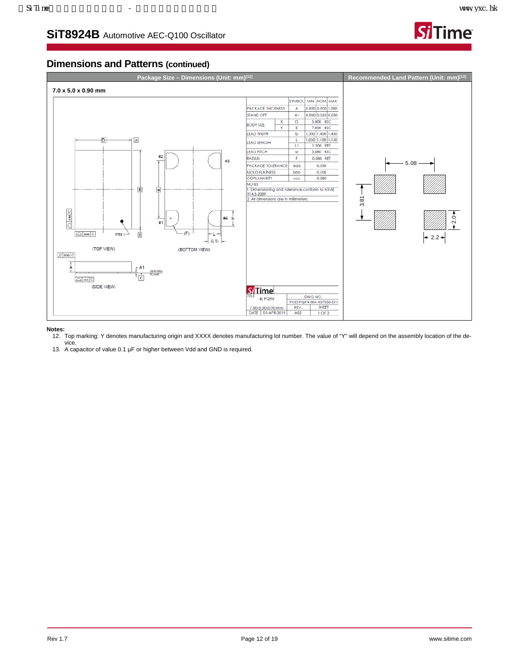

## **Dimensions and Patterns (continued)**



#### <span id="page-11-0"></span>**Notes:**

- 12. Top marking: Y denotes manufacturing origin and XXXX denotes manufacturing lot number. The value of "Y" will depend on the assembly location of the device.
- 13. A capacitor of value 0.1 µF or higher between Vdd and GND is required.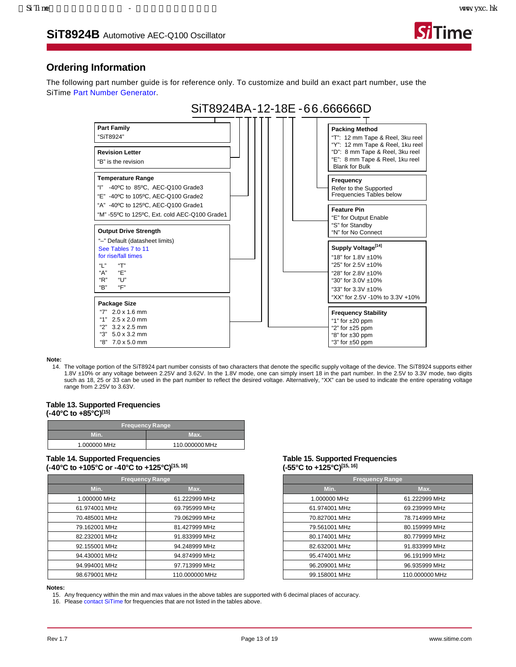

## **Ordering Information**

The following part number guide is for reference only. To customize and build an exact part number, use the SiTime [Part Number Generator.](https://www.sitime.com/part-number-generator?product=SiT8924)

|                                                                                                                                                    |  | SiT8924BA-12-18E-66.666666D                                                                                                                                                       |
|----------------------------------------------------------------------------------------------------------------------------------------------------|--|-----------------------------------------------------------------------------------------------------------------------------------------------------------------------------------|
| <b>Part Family</b><br>"SiT8924"                                                                                                                    |  | <b>Packing Method</b><br>"T": 12 mm Tape & Reel, 3ku reel<br>"Y": 12 mm Tape & Reel, 1ku reel                                                                                     |
| <b>Revision Letter</b><br>"B" is the revision                                                                                                      |  | "D": 8 mm Tape & Reel, 3ku reel<br>"E": 8 mm Tape & Reel, 1ku reel<br><b>Blank for Bulk</b>                                                                                       |
| <b>Temperature Range</b><br>"I" -40°C to 85°C, AEC-Q100 Grade3<br>"E" -40°C to 105°C, AEC-Q100 Grade2                                              |  | Frequency<br>Refer to the Supported<br>Frequencies Tables below                                                                                                                   |
| "A" -40°C to 125°C, AEC-Q100 Grade1<br>"M" -55°C to 125°C, Ext. cold AEC-Q100 Grade1<br><b>Output Drive Strength</b>                               |  | <b>Feature Pin</b><br>"E" for Output Enable<br>"S" for Standby<br>"N" for No Connect                                                                                              |
| "-" Default (datasheet limits)<br>See Tables 7 to 11<br>for rise/fall times<br>"  "<br>"Т"<br>"А"<br>"F"<br>"R"<br>"U"<br>"R"<br>"F"               |  | Supply Voltage <sup>[14]</sup><br>"18" for $1.8V$ ±10%<br>"25" for 2.5V ±10%<br>"28" for 2.8V ±10%<br>"30" for 3.0V ±10%<br>"33" for 3.3V ±10%<br>"XX" for 2.5V -10% to 3.3V +10% |
| Package Size<br>"7" $2.0 \times 1.6$ mm<br>"1" $2.5 \times 2.0$ mm<br>"2"<br>$3.2 \times 2.5$ mm<br>"3" 5.0 x 3.2 mm<br>"8"<br>$7.0 \times 5.0$ mm |  | <b>Frequency Stability</b><br>"1" for $\pm 20$ ppm<br>"2" for ±25 ppm<br>"8" for ±30 ppm<br>"3" for ±50 ppm                                                                       |

**Note:**

14. The voltage portion of the SiT8924 part number consists of two characters that denote the specific supply voltage of the device. The SiT8924 supports either 1.8V ±10% or any voltage between 2.25V and 3.62V. In the 1.8V mode, one can simply insert 18 in the part number. In the 2.5V to 3.3V mode, two digits such as 18, 25 or 33 can be used in the part number to reflect the desired voltage. Alternatively, "XX" can be used to indicate the entire operating voltage range from 2.25V to 3.63V.

#### <span id="page-12-0"></span>**Table 13. Supported Frequencies (-40°C to +85°C[\)\[15\]](#page-12-2)**

| <b>Frequency Range</b> |                |  |  |
|------------------------|----------------|--|--|
| Min.                   | Max.           |  |  |
| 1.000000 MHz           | 110.000000 MHz |  |  |

#### **Table 14. Supported Frequencies (-40°C to +105°C or -40°C to +125°C[\)\[15,](#page-12-2) [16\]](#page-12-3)**

| <b>Frequency Range</b> |                |  |  |
|------------------------|----------------|--|--|
| Min.                   | Max.           |  |  |
| 1.000000 MHz           | 61.222999 MHz  |  |  |
| 61.974001 MHz          | 69.795999 MHz  |  |  |
| 70.485001 MHz          | 79.062999 MHz  |  |  |
| 79.162001 MHz          | 81.427999 MHz  |  |  |
| 82.232001 MHz          | 91.833999 MHz  |  |  |
| 92.155001 MHz          | 94.248999 MHz  |  |  |
| 94.430001 MHz          | 94.874999 MHz  |  |  |
| 94.994001 MHz          | 97.713999 MHz  |  |  |
| 98.679001 MHz          | 110.000000 MHz |  |  |

#### <span id="page-12-1"></span>**Table 15. Supported Frequencies (-55°C to +125°C[\)\[15,](#page-12-2) [16\]](#page-12-3)**

| <b>Frequency Range</b> |                |  |  |
|------------------------|----------------|--|--|
| Min.                   | Max.           |  |  |
| 1.000000 MHz           | 61.222999 MHz  |  |  |
| 61.974001 MHz          | 69.239999 MHz  |  |  |
| 70.827001 MHz          | 78.714999 MHz  |  |  |
| 79.561001 MHz          | 80.159999 MHz  |  |  |
| 80.174001 MHz          | 80.779999 MHz  |  |  |
| 82.632001 MHz          | 91.833999 MHz  |  |  |
| 95.474001 MHz          | 96.191999 MHz  |  |  |
| 96.209001 MHz          | 96.935999 MHz  |  |  |
| 99.158001 MHz          | 110.000000 MHz |  |  |
|                        |                |  |  |

#### <span id="page-12-2"></span>**Notes:**

15. Any frequency within the min and max values in the above tables are supported with 6 decimal places of accuracy.

<span id="page-12-3"></span>16. Please [contact SiTime](http://www.sitime.com/company/contact-us) for frequencies that are not listed in the tables above.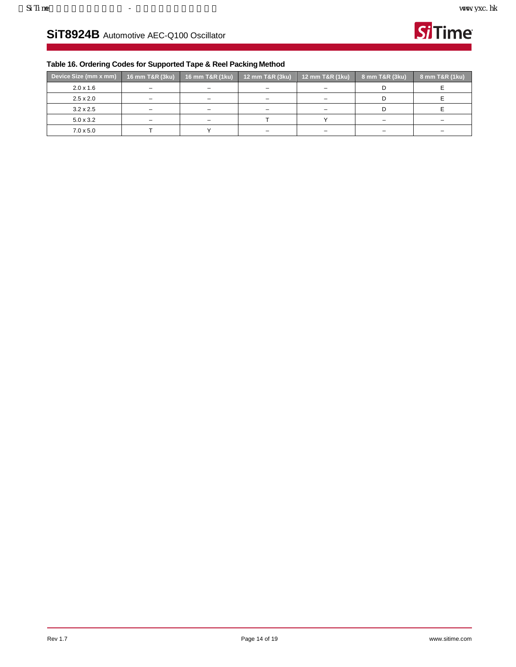

## **Table 16. Ordering Codes for Supported Tape & Reel Packing Method**

| Device Size (mm x mm) | <sup>!</sup> 16 mm T&R (3ku), | 16 mm T&R (1ku) | 12 mm T&R (3ku)          | 12 mm T&R (1ku) | 8 mm T&R (3ku) | 8 mm T&R (1ku) |
|-----------------------|-------------------------------|-----------------|--------------------------|-----------------|----------------|----------------|
| $2.0 \times 1.6$      | $\overline{\phantom{m}}$      | -               | $\overline{\phantom{0}}$ |                 |                |                |
| $2.5 \times 2.0$      | $\overline{\phantom{m}}$      |                 | -                        |                 |                |                |
| $3.2 \times 2.5$      | $\overline{\phantom{m}}$      | -               |                          |                 |                |                |
| $5.0 \times 3.2$      | $\qquad \qquad \blacksquare$  | $\equiv$        |                          |                 | -              |                |
| $7.0 \times 5.0$      |                               |                 | -                        |                 | -              |                |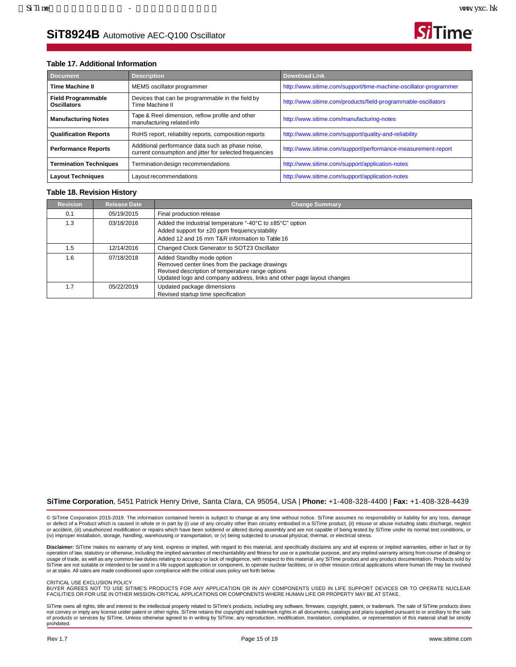

### **Table 17. Additional Information**

| <b>Description</b><br><b>Document</b>                                                                                                     |                                                                     | Download Link                                                    |  |
|-------------------------------------------------------------------------------------------------------------------------------------------|---------------------------------------------------------------------|------------------------------------------------------------------|--|
| <b>Time Machine II</b>                                                                                                                    | MEMS oscillator programmer                                          | http://www.sitime.com/support/time-machine-oscillator-programmer |  |
| <b>Field Programmable</b><br><b>Oscillators</b>                                                                                           | Devices that can be programmable in the field by<br>Time Machine II | http://www.sitime.com/products/field-programmable-oscillators    |  |
| Tape & Reel dimension, reflow profile and other<br><b>Manufacturing Notes</b><br>manufacturing related info                               |                                                                     | http://www.sitime.com/manufacturing-notes                        |  |
| RoHS report, reliability reports, composition reports<br><b>Qualification Reports</b>                                                     |                                                                     | http://www.sitime.com/support/quality-and-reliability            |  |
| Additional performance data such as phase noise,<br><b>Performance Reports</b><br>current consumption and jitter for selected frequencies |                                                                     | http://www.sitime.com/support/performance-measurement-report     |  |
| Termination design recommendations<br><b>Termination Techniques</b>                                                                       |                                                                     | http://www.sitime.com/support/application-notes                  |  |
| <b>Layout Techniques</b><br>Layout recommendations                                                                                        |                                                                     | http://www.sitime.com/support/application-notes                  |  |

#### **Table 18. Revision History**

| <b>Revision</b> | <b>Release Date</b> | <b>Change Summary</b>                                                                                                                                                                                    |
|-----------------|---------------------|----------------------------------------------------------------------------------------------------------------------------------------------------------------------------------------------------------|
| 0.1             | 05/19/2015          | Final production release                                                                                                                                                                                 |
| 1.3             | 03/18/2016          | Added the industrial temperature "-40°C to ±85°C" option<br>Added support for ±20 ppm frequency stability<br>Added 12 and 16 mm T&R information to Table 16                                              |
| 1.5             | 12/14/2016          | Changed Clock Generator to SOT23 Oscillator                                                                                                                                                              |
| 1.6             | 07/18/2018          | Added Standby mode option<br>Removed center lines from the package drawings<br>Revised description of temperature range options<br>Updated logo and company address, links and other page layout changes |
| 1.7             | 05/22/2019          | Updated package dimensions<br>Revised startup time specification                                                                                                                                         |

#### **SiTime Corporation**, 5451 Patrick Henry Drive, Santa Clara, CA 95054, USA | **Phone:** +1-408-328-4400 | **Fax:** +1-408-328-4439

© SiTime Corporation 2015-2019. The information contained herein is subject to change at any time without notice. SiTime assumes no responsibility or liability for any loss, damage or defect of a Product which is caused in whole or in part by (i) use of any circuitry other than circuitry embodied in a SiTime product, (ii) misuse or abuse including static discharge, neglect<br>or accident, (iii) unauthor (iv) improper installation, storage, handling, warehousing or transportation, or (v) being subjected to unusual physical, thermal, or electrical stress.

Disclaimer: SiTime makes no warranty of any kind, express or implied, with regard to this material, and specifically disclaims any and all express or implied warranties, either in fact or by operation of law, statutory or otherwise, including the implied warranties of merchantability and fitness for use or a particular purpose, and any implied warranty arising from course of dealing or usage of trade, as well as any common-law duties relating to accuracy or lack of negligence, with respect to this material, any SiTime product and any product documentation. Products sold by<br>SiTime are not suitable or inte or at stake. All sales are made conditioned upon compliance with the critical uses policy set forth below.

#### CRITICAL USE EXCLUSION POLICY

BUYER AGREES NOT TO USE SITIME'S PRODUCTS FOR ANY APPLICATION OR IN ANY COMPONENTS USED IN LIFE SUPPORT DEVICES OR TO OPERATE NUCLEAR<br>FACILITIES OR FOR USE IN OTHER MISSION-CRITICAL APPLICATIONS OR COMPONENTS WHERE HUMAN L

SiTime owns all rights, title and interest to the intellectual property related to SiTime's products, including any software, firmware, copyright, patent, or trademark. The sale of SiTime products does<br>not convey or imply prohibited.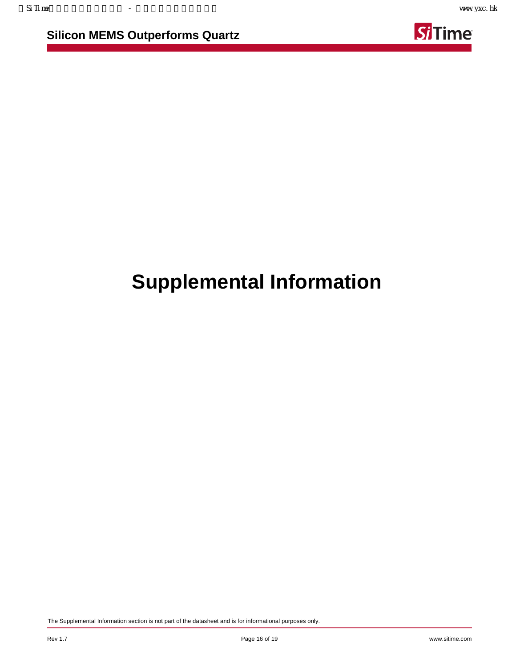**Silicon MEMS Outperforms Quartz**



# **Supplemental Information**

The Supplemental Information section is not part of the datasheet and is for informational purposes only.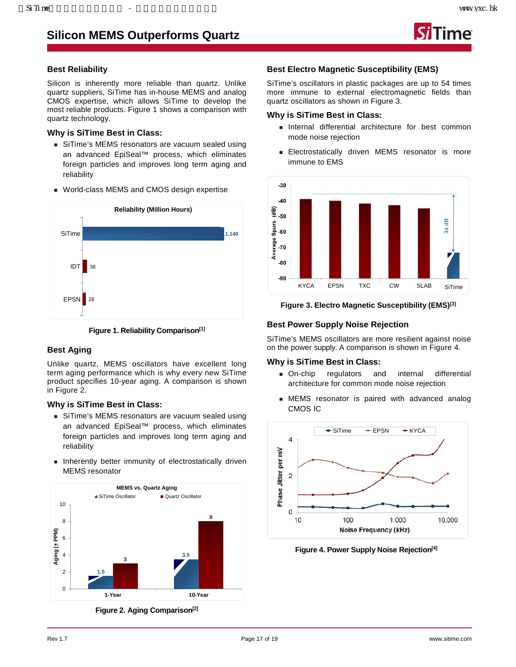

## **Best Reliability**

Silicon is inherently more reliable than quartz. Unlike quartz suppliers, [SiTime](https://www.sitime.com/) has in-house MEMS and analog CMOS expertise, which allows SiTime to develop the most reliable products. Figure 1 shows a comparison with quartz technology.

## **Why is [SiTime](https://www.sitime.com/) Best in Class:**

- SiTime's MEMS resonators are vacuum sealed using an advanced EpiSeal™ process, which eliminates foreign particles and improves long term aging and reliability
- World-class MEMS and CMOS design expertise



**Figure 1. Reliability Compariso[n\[1\]](#page-18-0)**

## **Best Aging**

Unlike quartz, MEMS oscillators have excellent long term aging performance which is why every new SiTime product specifies 10-year aging. A comparison is shown in Figure 2.

### **Why is [SiTime](https://www.sitime.com/) Best in Class:**

- SiTime's MEMS resonators are vacuum sealed using an advanced EpiSeal™ process, which eliminates foreign particles and improves long term aging and reliability
- **Inherently better immunity of electrostatically driven** MEMS resonator



**Figure 2. Aging Compariso[n\[2\]](#page-18-1)**

## **Best Electro Magnetic Susceptibility (EMS)**

SiTime's oscillators in plastic packages are up to 54 times more immune to external electromagnetic fields than quartz oscillators as shown in Figure 3.

## **Why is [SiTime](https://www.sitime.com/) Best in Class:**

- **Internal differential architecture for best common** mode noise rejection
- **Electrostatically driven MEMS resonator is more** immune to EMS



**Figure 3. Electro Magnetic Susceptibility (EMS[\)\[3\]](#page-18-2)**

## **Best Power Supply Noise Rejection**

SiTime's MEMS oscillators are more resilient against noise on the power supply. A comparison is shown in Figure 4.

### **Why is [SiTime](https://www.sitime.com/) Best in Class:**

- On-chip regulators and internal differential architecture for common mode noise rejection
- MEMS resonator is paired with advanced analog CMOS IC



**Figure 4. Power Supply Noise Rejectio[n\[4\]](#page-18-3)**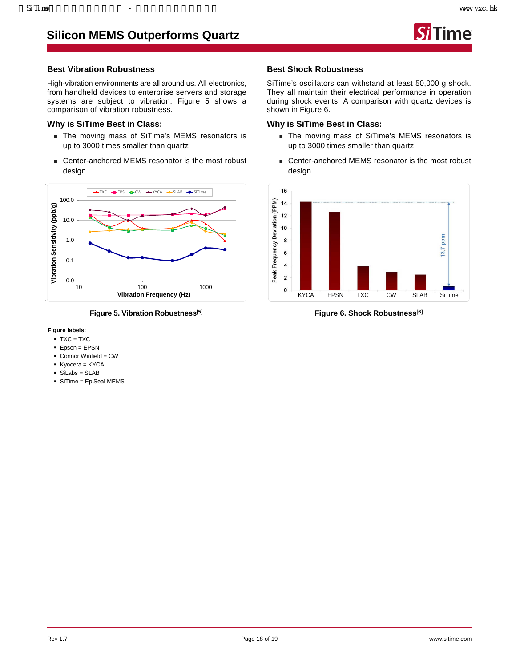## **Silicon MEMS Outperforms Quartz**



### **Best Vibration Robustness**

High-vibration environments are all around us. All electronics, from handheld devices to enterprise servers and storage systems are subject to vibration. Figure 5 shows a comparison of vibration robustness.

### **Why is [SiTime](https://www.sitime.com/) Best in Class:**

- The moving mass of SiTime's MEMS resonators is up to 3000 times smaller than quartz
- Center-anchored MEMS resonator is the most robust design



**Figure 5. Vibration Robustnes[s\[5\]](#page-18-4)**

#### **Figure labels:**

- $\blacksquare$  TXC = TXC
- Epson = EPSN
- Connor Winfield = CW
- Kyocera = KYCA
- SiLabs = SLAB
- SiTime = EpiSeal MEMS

### **Best Shock Robustness**

SiTime's oscillators can withstand at least 50,000 g shock. They all maintain their electrical performance in operation during shock events. A comparison with quartz devices is shown in Figure 6.

### **Why is [SiTime](https://www.sitime.com/) Best in Class:**

- The moving mass of SiTime's MEMS resonators is up to 3000 times smaller than quartz
- Center-anchored MEMS resonator is the most robust design



**Figure 6. Shock Robustnes[s\[6\]](#page-18-5)**